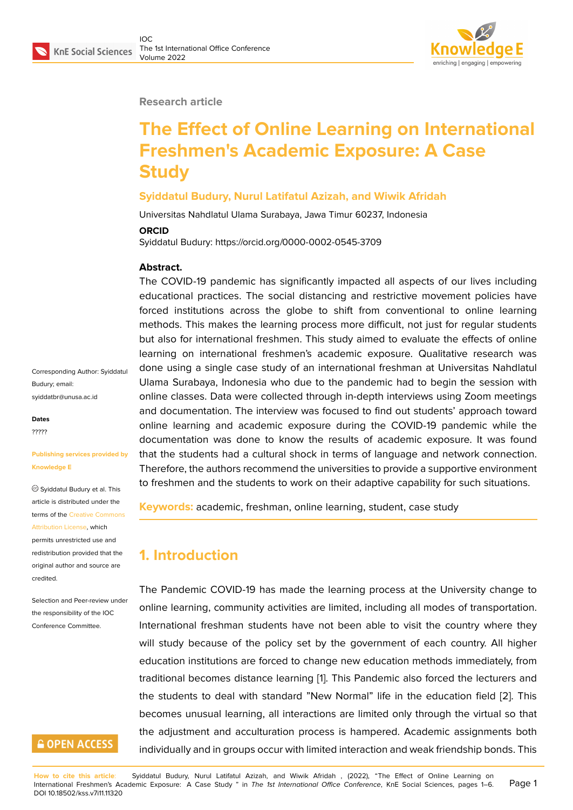#### **Research article**

# **The Effect of Online Learning on International Freshmen's Academic Exposure: A Case Study**

#### **Syiddatul Budury, Nurul Latifatul Azizah, and Wiwik Afridah**

Universitas Nahdlatul Ulama Surabaya, Jawa Timur 60237, Indonesia

#### **ORCID**

Syiddatul Budury: https://orcid.org/0000-0002-0545-3709

#### **Abstract.**

The COVID-19 pandemic has significantly impacted all aspects of our lives including educational practices. The social distancing and restrictive movement policies have forced institutions across the globe to shift from conventional to online learning methods. This makes the learning process more difficult, not just for regular students but also for international freshmen. This study aimed to evaluate the effects of online learning on international freshmen's academic exposure. Qualitative research was done using a single case study of an international freshman at Universitas Nahdlatul Ulama Surabaya, Indonesia who due to the pandemic had to begin the session with online classes. Data were collected through in-depth interviews using Zoom meetings and documentation. The interview was focused to find out students' approach toward online learning and academic exposure during the COVID-19 pandemic while the documentation was done to know the results of academic exposure. It was found that the students had a cultural shock in terms of language and network connection. Therefore, the authors recommend the universities to provide a supportive environment to freshmen and the students to work on their adaptive capability for such situations.

**Keywords:** academic, freshman, online learning, student, case study

## **1. Introduction**

The Pandemic COVID-19 has made the learning process at the University change to online learning, community activities are limited, including all modes of transportation. International freshman students have not been able to visit the country where they will study because of the policy set by the government of each country. All higher education institutions are forced to change new education methods immediately, from traditional becomes distance learning [1]. This Pandemic also forced the lecturers and the students to deal with standard "New Normal" life in the education field [2]. This becomes unusual learning, all interactions are limited only through the virtual so that the adjustment and acculturation proc[e](#page-4-0)ss is hampered. Academic assignments both individually and in groups occur with limited interaction and weak friendship bo[nds](#page-4-1). This

Corresponding Author: Syiddatul Budury; email: syiddatbr@unusa.ac.id

**Dates** ?????

#### **Publishing services provided by Knowledge E**

Syiddatul Budury et al. This article is distributed under the terms of the Creative Commons Attribution License, which permits unrestricted use and redistribution provided that the original auth[or and source are](https://creativecommons.org/licenses/by/4.0/) [credited.](https://creativecommons.org/licenses/by/4.0/)

Selection and Peer-review under the responsibility of the IOC Conference Committee.

### **GOPEN ACCESS**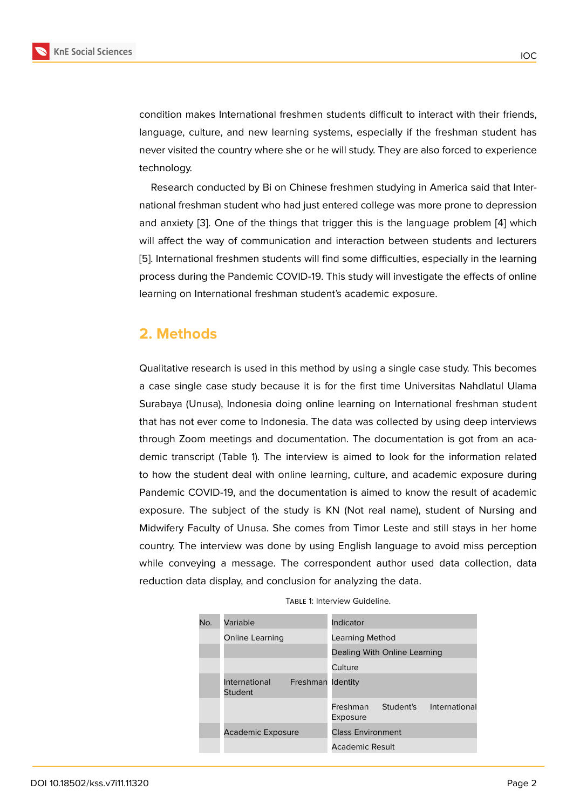condition makes International freshmen students difficult to interact with their friends, language, culture, and new learning systems, especially if the freshman student has never visited the country where she or he will study. They are also forced to experience technology.

Research conducted by Bi on Chinese freshmen studying in America said that International freshman student who had just entered college was more prone to depression and anxiety [3]. One of the things that trigger this is the language problem [4] which will affect the way of communication and interaction between students and lecturers [5]. International freshmen students will find some difficulties, especially in the learning process duri[ng](#page-4-2) the Pandemic COVID-19. This study will investigate the effects [of](#page-4-3) online learning on International freshman student's academic exposure.

#### **2. Methods**

Qualitative research is used in this method by using a single case study. This becomes a case single case study because it is for the first time Universitas Nahdlatul Ulama Surabaya (Unusa), Indonesia doing online learning on International freshman student that has not ever come to Indonesia. The data was collected by using deep interviews through Zoom meetings and documentation. The documentation is got from an academic transcript (Table 1). The interview is aimed to look for the information related to how the student deal with online learning, culture, and academic exposure during Pandemic COVID-19, and the documentation is aimed to know the result of academic exposure. The subject of the study is KN (Not real name), student of Nursing and Midwifery Faculty of Unusa. She comes from Timor Leste and still stays in her home country. The interview was done by using English language to avoid miss perception while conveying a message. The correspondent author used data collection, data reduction data display, and conclusion for analyzing the data.

| No. | Variable                                      | Indicator                                          |
|-----|-----------------------------------------------|----------------------------------------------------|
|     | Online Learning                               | Learning Method                                    |
|     |                                               | Dealing With Online Learning                       |
|     |                                               | Culture                                            |
|     | Freshman Identity<br>International<br>Student |                                                    |
|     |                                               | Freshman<br>Student's<br>International<br>Exposure |
|     | <b>Academic Exposure</b>                      | <b>Class Environment</b>                           |
|     |                                               | Academic Result                                    |

TABLE 1: Interview Guideline.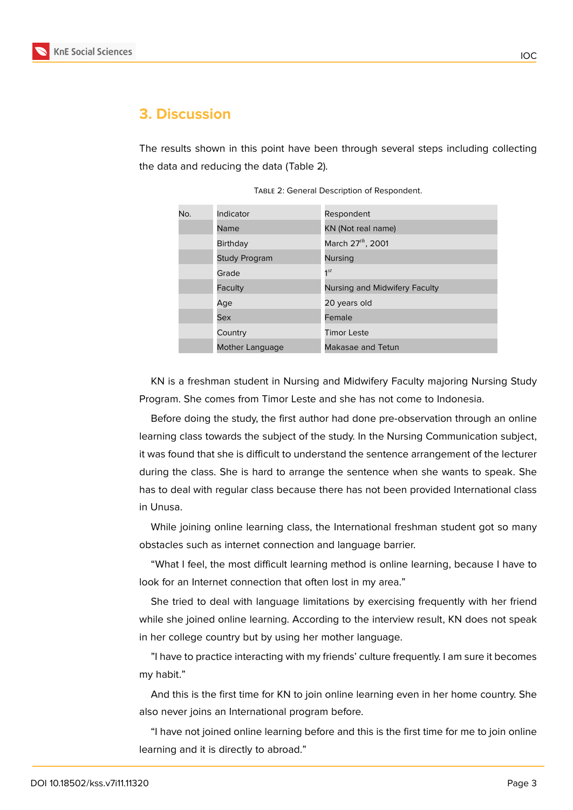

#### **3. Discussion**

The results shown in this point have been through several steps including collecting the data and reducing the data (Table 2).

| No. | Indicator            | Respondent                    |
|-----|----------------------|-------------------------------|
|     | Name                 | KN (Not real name)            |
|     | <b>Birthday</b>      | March 27th, 2001              |
|     | <b>Study Program</b> | <b>Nursing</b>                |
|     | Grade                | $1^{st}$                      |
|     | Faculty              | Nursing and Midwifery Faculty |
|     | Age                  | 20 years old                  |
|     | <b>Sex</b>           | Female                        |
|     | Country              | <b>Timor Leste</b>            |
|     | Mother Language      | Makasae and Tetun             |

Table 2: General Description of Respondent.

KN is a freshman student in Nursing and Midwifery Faculty majoring Nursing Study Program. She comes from Timor Leste and she has not come to Indonesia.

Before doing the study, the first author had done pre-observation through an online learning class towards the subject of the study. In the Nursing Communication subject, it was found that she is difficult to understand the sentence arrangement of the lecturer during the class. She is hard to arrange the sentence when she wants to speak. She has to deal with regular class because there has not been provided International class in Unusa.

While joining online learning class, the International freshman student got so many obstacles such as internet connection and language barrier.

"What I feel, the most difficult learning method is online learning, because I have to look for an Internet connection that often lost in my area."

She tried to deal with language limitations by exercising frequently with her friend while she joined online learning. According to the interview result, KN does not speak in her college country but by using her mother language.

"I have to practice interacting with my friends' culture frequently. I am sure it becomes my habit."

And this is the first time for KN to join online learning even in her home country. She also never joins an International program before.

"I have not joined online learning before and this is the first time for me to join online learning and it is directly to abroad."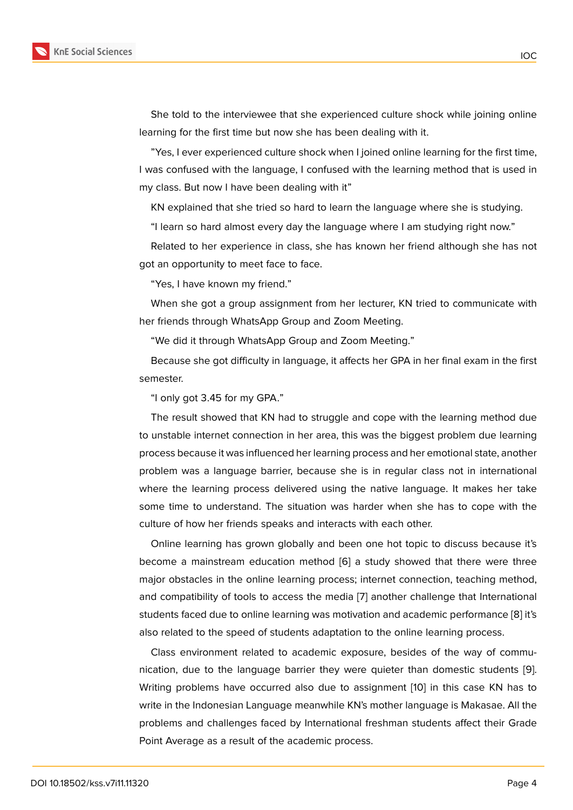She told to the interviewee that she experienced culture shock while joining online learning for the first time but now she has been dealing with it.

"Yes, I ever experienced culture shock when I joined online learning for the first time, I was confused with the language, I confused with the learning method that is used in my class. But now I have been dealing with it"

KN explained that she tried so hard to learn the language where she is studying.

"I learn so hard almost every day the language where I am studying right now."

Related to her experience in class, she has known her friend although she has not got an opportunity to meet face to face.

"Yes, I have known my friend."

When she got a group assignment from her lecturer, KN tried to communicate with her friends through WhatsApp Group and Zoom Meeting.

"We did it through WhatsApp Group and Zoom Meeting."

Because she got difficulty in language, it affects her GPA in her final exam in the first semester.

"I only got 3.45 for my GPA."

The result showed that KN had to struggle and cope with the learning method due to unstable internet connection in her area, this was the biggest problem due learning process because it was influenced her learning process and her emotional state, another problem was a language barrier, because she is in regular class not in international where the learning process delivered using the native language. It makes her take some time to understand. The situation was harder when she has to cope with the culture of how her friends speaks and interacts with each other.

Online learning has grown globally and been one hot topic to discuss because it's become a mainstream education method [6] a study showed that there were three major obstacles in the online learning process; internet connection, teaching method, and compatibility of tools to access the media [7] another challenge that International students faced due to online learning was m[ot](#page-4-4)ivation and academic performance [8] it's also related to the speed of students adaptation to the online learning process.

Class environment related to academic exp[os](#page-5-0)ure, besides of the way of communication, due to the language barrier they were quieter than domestic studen[ts](#page-5-1) [9]. Writing problems have occurred also due to assignment [10] in this case KN has to write in the Indonesian Language meanwhile KN's mother language is Makasae. All the problems and challenges faced by International freshman students affect their Gra[de](#page-5-2) Point Average as a result of the academic process.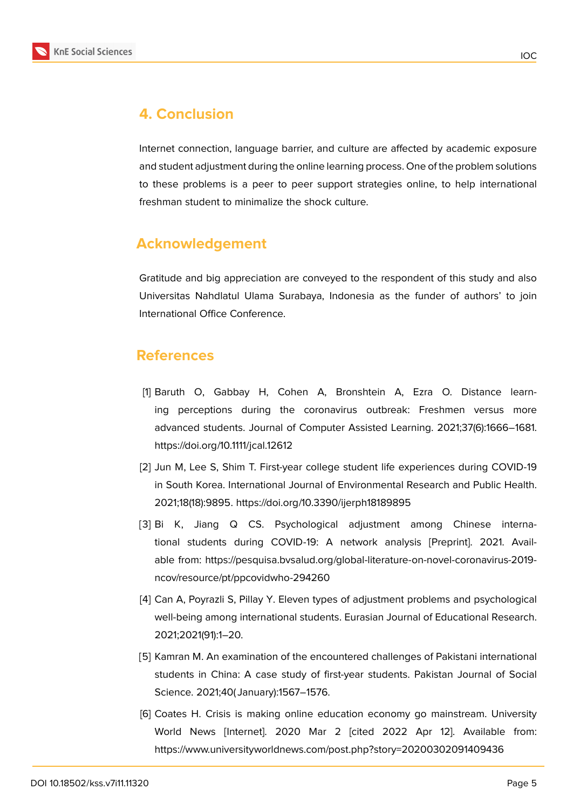

## **4. Conclusion**

Internet connection, language barrier, and culture are affected by academic exposure and student adjustment during the online learning process. One of the problem solutions to these problems is a peer to peer support strategies online, to help international freshman student to minimalize the shock culture.

### **Acknowledgement**

Gratitude and big appreciation are conveyed to the respondent of this study and also Universitas Nahdlatul Ulama Surabaya, Indonesia as the funder of authors' to join International Office Conference.

### **References**

- <span id="page-4-0"></span>[1] Baruth O, Gabbay H, Cohen A, Bronshtein A, Ezra O. Distance learning perceptions during the coronavirus outbreak: Freshmen versus more advanced students. Journal of Computer Assisted Learning. 2021;37(6):1666–1681. https://doi.org/10.1111/jcal.12612
- <span id="page-4-1"></span>[2] Jun M, Lee S, Shim T. First-year college student life experiences during COVID-19 in South Korea. International Journal of Environmental Research and Public Health. 2021;18(18):9895. https://doi.org/10.3390/ijerph18189895
- <span id="page-4-2"></span>[3] Bi K, Jiang Q CS. Psychological adjustment among Chinese international students during COVID-19: A network analysis [Preprint]. 2021. Available from: https://pesquisa.bvsalud.org/global-literature-on-novel-coronavirus-2019 ncov/resource/pt/ppcovidwho-294260
- <span id="page-4-3"></span>[4] Can A, Poyrazli S, Pillay Y. Eleven types of adjustment problems and psychological well-being among international students. Eurasian Journal of Educational Research. 2021;2021(91):1–20.
- [5] Kamran M. An examination of the encountered challenges of Pakistani international students in China: A case study of first-year students. Pakistan Journal of Social Science. 2021;40( January):1567–1576.
- <span id="page-4-4"></span>[6] Coates H. Crisis is making online education economy go mainstream. University World News [Internet]. 2020 Mar 2 [cited 2022 Apr 12]. Available from: https://www.universityworldnews.com/post.php?story=20200302091409436